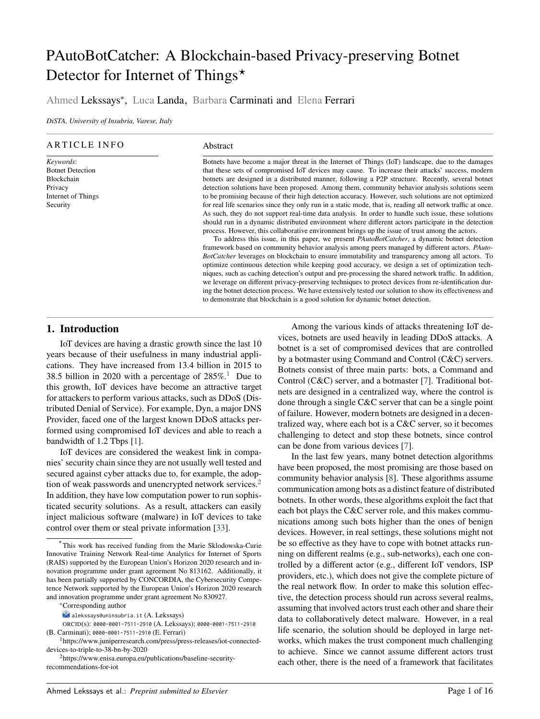# PAutoBotCatcher: A Blockchain-based Privacy-preserving Botnet Detector for Internet of Things<sup>\*</sup>

# Ahmed Lekssays<sup>∗</sup> , Luca Landa, Barbara Carminati and Elena Ferrari

*DiSTA, University of Insubria, Varese, Italy*

#### ARTICLE INFO

*Keywords*: Botnet Detection Blockchain Privacy Internet of Things Security

#### Abstract

Botnets have become a major threat in the Internet of Things (IoT) landscape, due to the damages that these sets of compromised IoT devices may cause. To increase their attacks' success, modern botnets are designed in a distributed manner, following a P2P structure. Recently, several botnet detection solutions have been proposed. Among them, community behavior analysis solutions seem to be promising because of their high detection accuracy. However, such solutions are not optimized for real life scenarios since they only run in a static mode, that is, reading all network traffic at once. As such, they do not support real-time data analysis. In order to handle such issue, these solutions should run in a dynamic distributed environment where different actors participate in the detection process. However, this collaborative environment brings up the issue of trust among the actors.

To address this issue, in this paper, we present *PAutoBotCatcher*, a dynamic botnet detection framework based on community behavior analysis among peers managed by different actors. *PAuto-BotCatcher* leverages on blockchain to ensure immutability and transparency among all actors. To optimize continuous detection while keeping good accuracy, we design a set of optimization techniques, such as caching detection's output and pre-processing the shared network traffic. In addition, we leverage on different privacy-preserving techniques to protect devices from re-identification during the botnet detection process. We have extensively tested our solution to show its effectiveness and to demonstrate that blockchain is a good solution for dynamic botnet detection.

#### **1. Introduction**

IoT devices are having a drastic growth since the last 10 years because of their usefulness in many industrial applications. They have increased from 13.4 billion in 2015 to 38.5 billion in 2020 with a percentage of  $285\%$ .<sup>[1](#page-2-0)</sup> Due to this growth, IoT devices have become an attractive target for attackers to perform various attacks, such as DDoS (Distributed Denial of Service). For example, Dyn, a major DNS Provider, faced one of the largest known DDoS attacks performed using compromised IoT devices and able to reach a bandwidth of 1.2 Tbps [1].

IoT devices are considered the weakest link in companies' security chain since they are not usually well tested and secured against cyber attacks due to, for example, the adop-tion of weak passwords and unencrypted network services.<sup>[2](#page-2-0)</sup> In addition, they have low computation power to run sophisticated security solutions. As a result, attackers can easily inject malicious software (malware) in IoT devices to take control over them or steal private information [33].

Among the various kinds of attacks threatening IoT devices, botnets are used heavily in leading DDoS attacks. A botnet is a set of compromised devices that are controlled by a botmaster using Command and Control (C&C) servers. Botnets consist of three main parts: bots, a Command and Control (C&C) server, and a botmaster [7]. Traditional botnets are designed in a centralized way, where the control is done through a single C&C server that can be a single point of failure. However, modern botnets are designed in a decentralized way, where each bot is a C&C server, so it becomes challenging to detect and stop these botnets, since control can be done from various devices [7].

In the last few years, many botnet detection algorithms have been proposed, the most promising are those based on community behavior analysis [8]. These algorithms assume communication among bots as a distinct feature of distributed botnets. In other words, these algorithms exploit the fact that each bot plays the C&C server role, and this makes communications among such bots higher than the ones of benign devices. However, in real settings, these solutions might not be so effective as they have to cope with botnet attacks running on different realms (e.g., sub-networks), each one controlled by a different actor (e.g., different IoT vendors, ISP providers, etc.), which does not give the complete picture of the real network flow. In order to make this solution effective, the detection process should run across several realms, assuming that involved actors trust each other and share their data to collaboratively detect malware. However, in a real life scenario, the solution should be deployed in large networks, which makes the trust component much challenging to achieve. Since we cannot assume different actors trust each other, there is the need of a framework that facilitates

*<sup>⋆</sup>* This work has received funding from the Marie Sklodowska-Curie Innovative Training Network Real-time Analytics for Internet of Sports (RAIS) supported by the European Union's Horizon 2020 research and innovation programme under grant agreement No 813162. Additionally, it has been partially supported by CONCORDIA, the Cybersecurity Competence Network supported by the European Union's Horizon 2020 research and innovation programme under grant agreement No 830927.

<sup>∗</sup>Corresponding author

alekssays@uninsubria.it (A. Lekssays)

ORCID(s): 0000-0001-7511-2910 (A. Lekssays); 0000-0001-7511-2910 (B. Carminati); 0000-0001-7511-2910 (E. Ferrari)

<sup>1</sup>https://www.juniperresearch.com/press/press-releases/iot-connecteddevices-to-triple-to-38-bn-by-2020

<sup>2</sup>https://www.enisa.europa.eu/publications/baseline-securityrecommendations-for-iot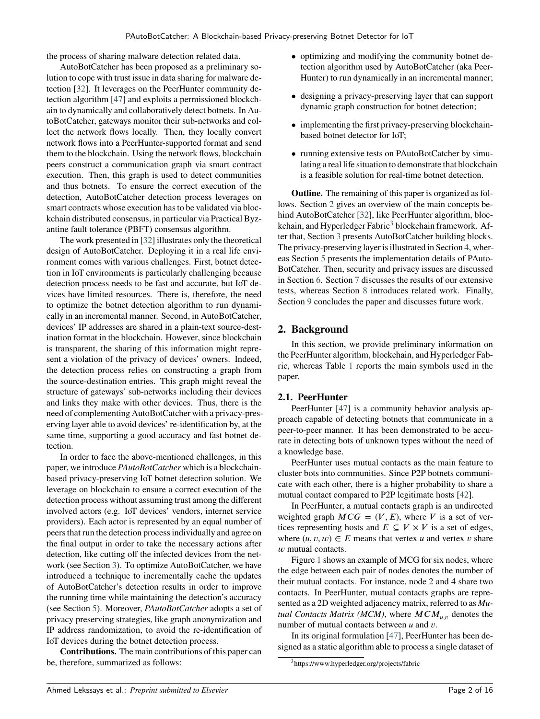the process of sharing malware detection related data.

AutoBotCatcher has been proposed as a preliminary solution to cope with trust issue in data sharing for malware detection [32]. It leverages on the PeerHunter community detection algorithm [47] and exploits a permissioned blockchain to dynamically and collaboratively detect botnets. In AutoBotCatcher, gateways monitor their sub-networks and collect the network flows locally. Then, they locally convert network flows into a PeerHunter-supported format and send them to the blockchain. Using the network flows, blockchain peers construct a communication graph via smart contract execution. Then, this graph is used to detect communities and thus botnets. To ensure the correct execution of the detection, AutoBotCatcher detection process leverages on smart contracts whose execution has to be validated via blockchain distributed consensus, in particular via Practical Byzantine fault tolerance (PBFT) consensus algorithm.

The work presented in [32] illustrates only the theoretical design of AutoBotCatcher. Deploying it in a real life environment comes with various challenges. First, botnet detection in IoT environments is particularly challenging because detection process needs to be fast and accurate, but IoT devices have limited resources. There is, therefore, the need to optimize the botnet detection algorithm to run dynamically in an incremental manner. Second, in AutoBotCatcher, devices' IP addresses are shared in a plain-text source-destination format in the blockchain. However, since blockchain is transparent, the sharing of this information might represent a violation of the privacy of devices' owners. Indeed, the detection process relies on constructing a graph from the source-destination entries. This graph might reveal the structure of gateways' sub-networks including their devices and links they make with other devices. Thus, there is the need of complementing AutoBotCatcher with a privacy-preserving layer able to avoid devices' re-identification by, at the same time, supporting a good accuracy and fast botnet detection.

In order to face the above-mentioned challenges, in this paper, we introduce *PAutoBotCatcher* which is a blockchainbased privacy-preserving IoT botnet detection solution. We leverage on blockchain to ensure a correct execution of the detection process without assuming trust among the different involved actors (e.g. IoT devices' vendors, internet service providers). Each actor is represented by an equal number of peers that run the detection process individually and agree on the final output in order to take the necessary actions after detection, like cutting off the infected devices from the network (see Section [3\)](#page-5-0). To optimize AutoBotCatcher, we have introduced a technique to incrementally cache the updates of AutoBotCatcher's detection results in order to improve the running time while maintaining the detection's accuracy (see Section [5\)](#page-8-0). Moreover, *PAutoBotCatcher* adopts a set of privacy preserving strategies, like graph anonymization and IP address randomization, to avoid the re-identification of IoT devices during the botnet detection process.

**Contributions.** The main contributions of this paper can be, therefore, summarized as follows:

- optimizing and modifying the community botnet detection algorithm used by AutoBotCatcher (aka Peer-Hunter) to run dynamically in an incremental manner;
- designing a privacy-preserving layer that can support dynamic graph construction for botnet detection;
- implementing the first privacy-preserving blockchainbased botnet detector for IoT;
- running extensive tests on PAutoBotCatcher by simulating a real life situation to demonstrate that blockchain is a feasible solution for real-time botnet detection.

**Outline.** The remaining of this paper is organized as follows. Section [2](#page-3-0) gives an overview of the main concepts behind AutoBotCatcher [32], like PeerHunter algorithm, bloc-kchain, and Hyperledger Fabric<sup>[3](#page-3-0)</sup> blockchain framework. After that, Section [3](#page-5-0) presents AutoBotCatcher building blocks. The privacy-preserving layer is illustrated in Section [4,](#page-6-0) whereas Section [5](#page-8-0) presents the implementation details of PAuto-BotCatcher. Then, security and privacy issues are discussed in Section [6.](#page-10-0) Section [7](#page-12-0) discusses the results of our extensive tests, whereas Section [8](#page-13-0) introduces related work. Finally, Section [9](#page-15-0) concludes the paper and discusses future work.

### **2. Background**

In this section, we provide preliminary information on the PeerHunter algorithm, blockchain, and Hyperledger Fabric, whereas Table [1](#page-4-0) reports the main symbols used in the paper.

#### **2.1. PeerHunter**

PeerHunter [47] is a community behavior analysis approach capable of detecting botnets that communicate in a peer-to-peer manner. It has been demonstrated to be accurate in detecting bots of unknown types without the need of a knowledge base.

PeerHunter uses mutual contacts as the main feature to cluster bots into communities. Since P2P botnets communicate with each other, there is a higher probability to share a mutual contact compared to P2P legitimate hosts [42].

In PeerHunter, a mutual contacts graph is an undirected weighted graph  $MCG = (V, E)$ , where *V* is a set of vertices representing hosts and  $E \subseteq V \times V$  is a set of edges, where  $(u, v, w) \in E$  means that vertex *u* and vertex *v* share *w* mutual contacts.

Figure [1](#page-4-0) shows an example of MCG for six nodes, where the edge between each pair of nodes denotes the number of their mutual contacts. For instance, node 2 and 4 share two contacts. In PeerHunter, mutual contacts graphs are represented as a 2D weighted adjacency matrix, referred to as *Mutual Contacts Matrix (MCM)*, where  $MCM_{\mu,\nu}$  denotes the number of mutual contacts between *u* and *v*.

In its original formulation [47], PeerHunter has been designed as a static algorithm able to process a single dataset of

<sup>3</sup>https://www.hyperledger.org/projects/fabric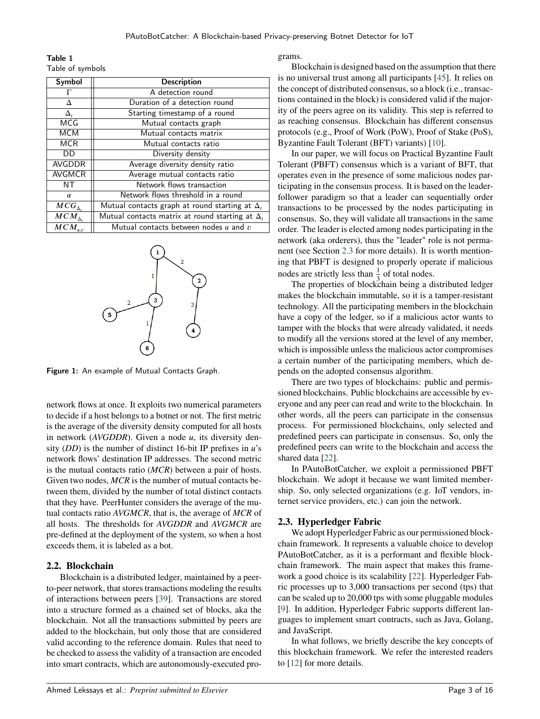<span id="page-2-0"></span>Table 1 Table of symbols

| Symbol                           | <b>Description</b>                                     |  |  |
|----------------------------------|--------------------------------------------------------|--|--|
|                                  | A detection round                                      |  |  |
| Δ                                | Duration of a detection round                          |  |  |
| $\Delta_{\scriptscriptstyle{t}}$ | Starting timestamp of a round                          |  |  |
| <b>MCG</b>                       | Mutual contacts graph                                  |  |  |
| <b>MCM</b>                       | Mutual contacts matrix                                 |  |  |
| <b>MCR</b>                       | Mutual contacts ratio                                  |  |  |
| DD                               | Diversity density                                      |  |  |
| <b>AVGDDR</b>                    | Average diversity density ratio                        |  |  |
| <b>AVGMCR</b>                    | Average mutual contacts ratio                          |  |  |
| NΤ                               | Network flows transaction                              |  |  |
| $\alpha$                         | Network flows threshold in a round                     |  |  |
| $MCG_{\Delta}$                   | Mutual contacts graph at round starting at $\Delta$ ,  |  |  |
| $\overline{MCM}_{\Delta_t}$      | Mutual contacts matrix at round starting at $\Delta$ , |  |  |
| $\overline{M}CM_{u,v}$           | Mutual contacts between nodes $u$ and $v$              |  |  |

Figure 1: An example of Mutual Contacts Graph.

network flows at once. It exploits two numerical parameters to decide if a host belongs to a botnet or not. The first metric is the average of the diversity density computed for all hosts in network (*AVGDDR*). Given a node *u*, its diversity density  $(DD)$  is the number of distinct 16-bit IP prefixes in  $u$ 's network flows' destination IP addresses. The second metric is the mutual contacts ratio (*MCR*) between a pair of hosts. Given two nodes, *MCR* is the number of mutual contacts between them, divided by the number of total distinct contacts that they have. PeerHunter considers the average of the mutual contacts ratio *AVGMCR*, that is, the average of *MCR* of all hosts. The thresholds for *AVGDDR* and *AVGMCR* are pre-defined at the deployment of the system, so when a host exceeds them, it is labeled as a bot.

#### **2.2. Blockchain**

Blockchain is a distributed ledger, maintained by a peerto-peer network, that stores transactions modeling the results of interactions between peers [39]. Transactions are stored into a structure formed as a chained set of blocks, aka the blockchain. Not all the transactions submitted by peers are added to the blockchain, but only those that are considered valid according to the reference domain. Rules that need to be checked to assess the validity of a transaction are encoded into smart contracts, which are autonomously-executed pro-

#### grams.

Blockchain is designed based on the assumption that there is no universal trust among all participants [45]. It relies on the concept of distributed consensus, so a block (i.e., transactions contained in the block) is considered valid if the majority of the peers agree on its validity. This step is referred to as reaching consensus. Blockchain has different consensus protocols (e.g., Proof of Work (PoW), Proof of Stake (PoS), Byzantine Fault Tolerant (BFT) variants) [10].

In our paper, we will focus on Practical Byzantine Fault Tolerant (PBFT) consensus which is a variant of BFT, that operates even in the presence of some malicious nodes participating in the consensus process. It is based on the leaderfollower paradigm so that a leader can sequentially order transactions to be processed by the nodes participating in consensus. So, they will validate all transactions in the same order. The leader is elected among nodes participating in the network (aka orderers), thus the "leader" role is not permanent (see Section [2.3](#page-4-0) for more details). It is worth mentioning that PBFT is designed to properly operate if malicious nodes are strictly less than  $\frac{1}{3}$  of total nodes.

The properties of blockchain being a distributed ledger makes the blockchain immutable, so it is a tamper-resistant technology. All the participating members in the blockchain have a copy of the ledger, so if a malicious actor wants to tamper with the blocks that were already validated, it needs to modify all the versions stored at the level of any member, which is impossible unless the malicious actor compromises a certain number of the participating members, which depends on the adopted consensus algorithm.

There are two types of blockchains: public and permissioned blockchains. Public blockchains are accessible by everyone and any peer can read and write to the blockchain. In other words, all the peers can participate in the consensus process. For permissioned blockchains, only selected and predefined peers can participate in consensus. So, only the predefined peers can write to the blockchain and access the shared data [22].

In PAutoBotCatcher, we exploit a permissioned PBFT blockchain. We adopt it because we want limited membership. So, only selected organizations (e.g. IoT vendors, internet service providers, etc.) can join the network.

# **2.3. Hyperledger Fabric**

We adopt Hyperledger Fabric as our permissioned blockchain framework. It represents a valuable choice to develop PAutoBotCatcher, as it is a performant and flexible blockchain framework. The main aspect that makes this framework a good choice is its scalability [22]. Hyperledger Fabric processes up to 3,000 transactions per second (tps) that can be scaled up to 20,000 tps with some pluggable modules [9]. In addition, Hyperledger Fabric supports different languages to implement smart contracts, such as Java, Golang, and JavaScript.

In what follows, we briefly describe the key concepts of this blockchain framework. We refer the interested readers to [12] for more details.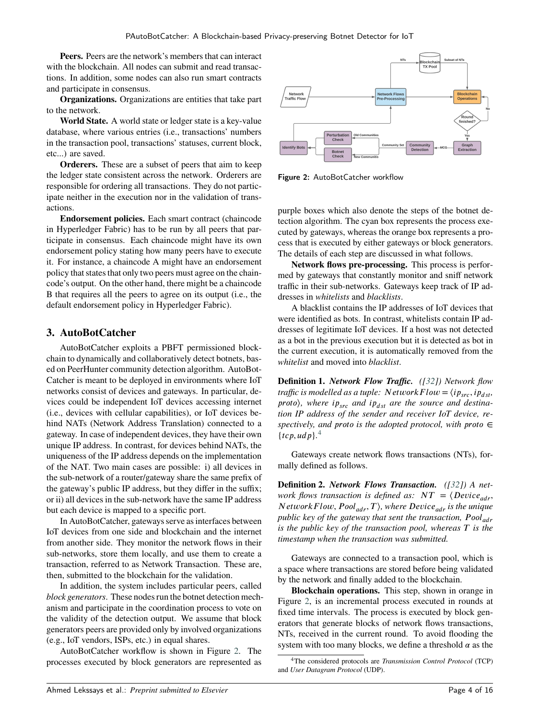<span id="page-3-0"></span>**Peers.** Peers are the network's members that can interact with the blockchain. All nodes can submit and read transactions. In addition, some nodes can also run smart contracts and participate in consensus.

**Organizations.** Organizations are entities that take part to the network.

**World State.** A world state or ledger state is a key-value database, where various entries (i.e., transactions' numbers in the transaction pool, transactions' statuses, current block, etc...) are saved.

**Orderers.** These are a subset of peers that aim to keep the ledger state consistent across the network. Orderers are responsible for ordering all transactions. They do not participate neither in the execution nor in the validation of transactions.

**Endorsement policies.** Each smart contract (chaincode in Hyperledger Fabric) has to be run by all peers that participate in consensus. Each chaincode might have its own endorsement policy stating how many peers have to execute it. For instance, a chaincode A might have an endorsement policy that states that only two peers must agree on the chaincode's output. On the other hand, there might be a chaincode B that requires all the peers to agree on its output (i.e., the default endorsement policy in Hyperledger Fabric).

#### **3. AutoBotCatcher**

AutoBotCatcher exploits a PBFT permissioned blockchain to dynamically and collaboratively detect botnets, based on PeerHunter community detection algorithm. AutoBot-Catcher is meant to be deployed in environments where IoT networks consist of devices and gateways. In particular, devices could be independent IoT devices accessing internet (i.e., devices with cellular capabilities), or IoT devices behind NATs (Network Address Translation) connected to a gateway. In case of independent devices, they have their own unique IP address. In contrast, for devices behind NATs, the uniqueness of the IP address depends on the implementation of the NAT. Two main cases are possible: i) all devices in the sub-network of a router/gateway share the same prefix of the gateway's public IP address, but they differ in the suffix; or ii) all devices in the sub-network have the same IP address but each device is mapped to a specific port.

In AutoBotCatcher, gateways serve as interfaces between IoT devices from one side and blockchain and the internet from another side. They monitor the network flows in their sub-networks, store them locally, and use them to create a transaction, referred to as Network Transaction. These are, then, submitted to the blockchain for the validation.

In addition, the system includes particular peers, called *block generators*. These nodes run the botnet detection mechanism and participate in the coordination process to vote on the validity of the detection output. We assume that block generators peers are provided only by involved organizations (e.g., IoT vendors, ISPs, etc.) in equal shares.

AutoBotCatcher workflow is shown in Figure [2.](#page-5-0) The processes executed by block generators are represented as



Figure 2: AutoBotCatcher workflow

purple boxes which also denote the steps of the botnet detection algorithm. The cyan box represents the process executed by gateways, whereas the orange box represents a process that is executed by either gateways or block generators. The details of each step are discussed in what follows.

**Network flows pre-processing.** This process is performed by gateways that constantly monitor and sniff network traffic in their sub-networks. Gateways keep track of IP addresses in *whitelists* and *blacklists*.

A blacklist contains the IP addresses of IoT devices that were identified as bots. In contrast, whitelists contain IP addresses of legitimate IoT devices. If a host was not detected as a bot in the previous execution but it is detected as bot in the current execution, it is automatically removed from the *whitelist* and moved into *blacklist*.

**Definition 1.** *Network Flow Traffic. ([32]) Network flow traffic is modelled as a tuple:*  $N$ *etworkFlow* =  $\langle ip_{src}, ip_{dst},$ *proto*), where  $ip_{src}$  and  $ip_{dst}$  are the source and destina*tion IP address of the sender and receiver IoT device, respectively, and proto is the adopted protocol, with proto* ∈  ${tcp, udp}.$ <sup>[4](#page-5-0)</sup>

Gateways create network flows transactions (NTs), formally defined as follows.

**Definition 2.** *Network Flows Transaction. ([32]) A network flows transaction is defined as:*  $NT = \{Device_{adv},$ *NetworkFlow, Pool<sub>adr</sub>, T), where Device<sub>adr</sub> is the unique public key of the gateway that sent the transaction, Pool*<sub>*adr</sub>*</sub> *is the public key of the transaction pool, whereas*  $T$  *is the timestamp when the transaction was submitted.*

Gateways are connected to a transaction pool, which is a space where transactions are stored before being validated by the network and finally added to the blockchain.

**Blockchain operations.** This step, shown in orange in Figure [2,](#page-5-0) is an incremental process executed in rounds at fixed time intervals. The process is executed by block generators that generate blocks of network flows transactions, NTs, received in the current round. To avoid flooding the system with too many blocks, we define a threshold  $\alpha$  as the

<sup>4</sup>The considered protocols are *Transmission Control Protocol* (TCP) and *User Datagram Protocol* (UDP).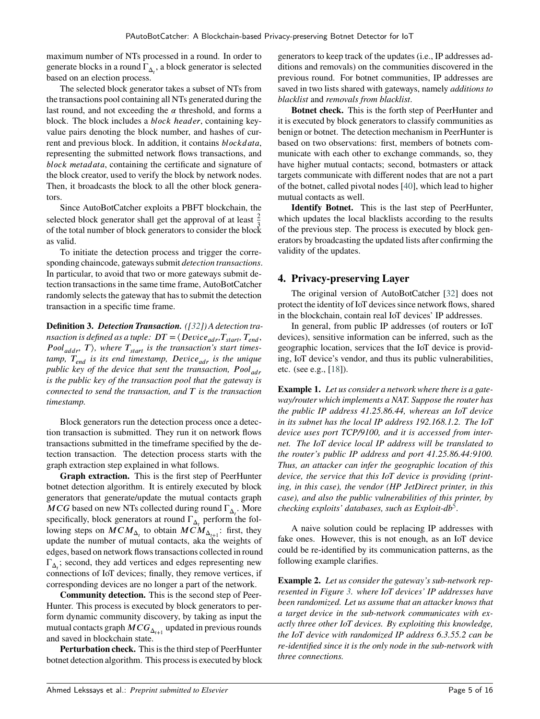<span id="page-4-0"></span>maximum number of NTs processed in a round. In order to generate blocks in a round ΓΔ*<sup>𝑡</sup>* , a block generator is selected based on an election process.

The selected block generator takes a subset of NTs from the transactions pool containing all NTs generated during the last round, and not exceeding the  $\alpha$  threshold, and forms a block. The block includes a *block header*, containing keyvalue pairs denoting the block number, and hashes of current and previous block. In addition, it contains *blockdata*, representing the submitted network flows transactions, and *block metadata*, containing the certificate and signature of the block creator, used to verify the block by network nodes. Then, it broadcasts the block to all the other block generators.

Since AutoBotCatcher exploits a PBFT blockchain, the selected block generator shall get the approval of at least  $\frac{2}{3}$ of the total number of block generators to consider the block as valid.

To initiate the detection process and trigger the corresponding chaincode, gateways submit *detection transactions*. In particular, to avoid that two or more gateways submit detection transactions in the same time frame, AutoBotCatcher randomly selects the gateway that has to submit the detection transaction in a specific time frame.

**Definition 3.** *Detection Transaction. ([32]) A detection transaction is defined as a tuple:*  $DT = \langle Device_{adr}, T_{start}, T_{end},$ *Pool*<sub>addr</sub>,  $T$ ), where  $T_{start}$  is the transaction's start times*tamp, 𝑇𝑒𝑛𝑑 is its end timestamp, 𝐷𝑒𝑣𝑖𝑐𝑒𝑎𝑑𝑟 is the unique public key of the device that sent the transaction, Pool<sub>adr</sub> is the public key of the transaction pool that the gateway is connected to send the transaction, and 𝑇 is the transaction timestamp.*

Block generators run the detection process once a detection transaction is submitted. They run it on network flows transactions submitted in the timeframe specified by the detection transaction. The detection process starts with the graph extraction step explained in what follows.

**Graph extraction.** This is the first step of PeerHunter botnet detection algorithm. It is entirely executed by block generators that generate/update the mutual contacts graph *MCG* based on new NTs collected during round  $\Gamma_{\Delta_t}$ . More specifically, block generators at round  $\Gamma_{\Delta_t}$  perform the following steps on  $MCM_{\Delta_t}$  to obtain  $MCM_{\Delta_{t+1}}$ : first, they update the number of mutual contacts, aka the weights of edges, based on network flows transactions collected in round  $\Gamma_{\Delta_i}$ ; second, they add vertices and edges representing new connections of IoT devices; finally, they remove vertices, if corresponding devices are no longer a part of the network.

**Community detection.** This is the second step of Peer-Hunter. This process is executed by block generators to perform dynamic community discovery, by taking as input the mutual contacts graph  $MCG_{\Delta_{t+1}}$  updated in previous rounds and saved in blockchain state.

**Perturbation check.** This is the third step of PeerHunter botnet detection algorithm. This process is executed by block

generators to keep track of the updates (i.e., IP addresses additions and removals) on the communities discovered in the previous round. For botnet communities, IP addresses are saved in two lists shared with gateways, namely *additions to blacklist* and *removals from blacklist*.

**Botnet check.** This is the forth step of PeerHunter and it is executed by block generators to classify communities as benign or botnet. The detection mechanism in PeerHunter is based on two observations: first, members of botnets communicate with each other to exchange commands, so, they have higher mutual contacts; second, botmasters or attack targets communicate with different nodes that are not a part of the botnet, called pivotal nodes [40], which lead to higher mutual contacts as well.

**Identify Botnet.** This is the last step of PeerHunter, which updates the local blacklists according to the results of the previous step. The process is executed by block generators by broadcasting the updated lists after confirming the validity of the updates.

### **4. Privacy-preserving Layer**

The original version of AutoBotCatcher [32] does not protect the identity of IoT devices since network flows, shared in the blockchain, contain real IoT devices' IP addresses.

In general, from public IP addresses (of routers or IoT devices), sensitive information can be inferred, such as the geographic location, services that the IoT device is providing, IoT device's vendor, and thus its public vulnerabilities, etc. (see e.g., [18]).

**Example 1.** *Let us consider a network where there is a gateway/router which implements a NAT. Suppose the router has the public IP address 41.25.86.44, whereas an IoT device in its subnet has the local IP address 192.168.1.2. The IoT device uses port TCP/9100, and it is accessed from internet. The IoT device local IP address will be translated to the router's public IP address and port 41.25.86.44:9100. Thus, an attacker can infer the geographic location of this device, the service that this IoT device is providing (printing, in this case), the vendor (HP JetDirect printer, in this case), and also the public vulnerabilities of this printer, by checking exploits' databases, such as Exploit-db*[5](#page-7-0) *.*

A naive solution could be replacing IP addresses with fake ones. However, this is not enough, as an IoT device could be re-identified by its communication patterns, as the following example clarifies.

**Example 2.** *Let us consider the gateway's sub-network represented in Figure [3.](#page-7-0) where IoT devices' IP addresses have been randomized. Let us assume that an attacker knows that a target device in the sub-network communicates with exactly three other IoT devices. By exploiting this knowledge, the IoT device with randomized IP address 6.3.55.2 can be re-identified since it is the only node in the sub-network with three connections.*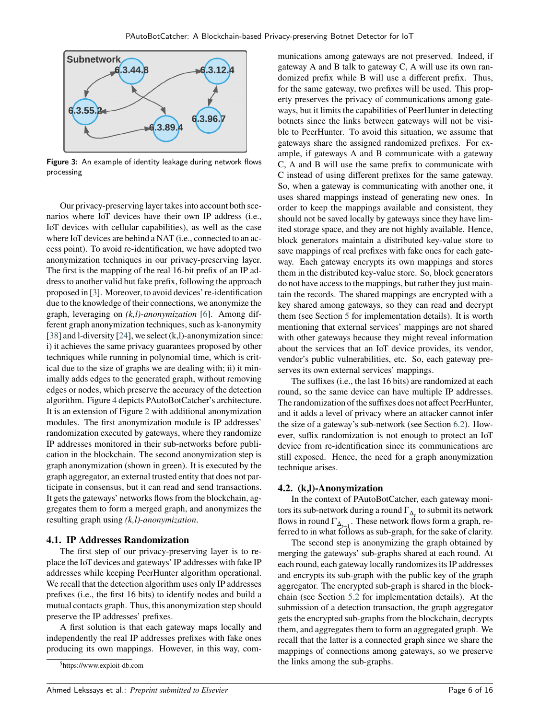<span id="page-5-0"></span>

Figure 3: An example of identity leakage during network flows processing

Our privacy-preserving layer takes into account both scenarios where IoT devices have their own IP address (i.e., IoT devices with cellular capabilities), as well as the case where IoT devices are behind a NAT (i.e., connected to an access point). To avoid re-identification, we have adopted two anonymization techniques in our privacy-preserving layer. The first is the mapping of the real 16-bit prefix of an IP address to another valid but fake prefix, following the approach proposed in [3]. Moreover, to avoid devices' re-identification due to the knowledge of their connections, we anonymize the graph, leveraging on *(k,l)-anonymization* [6]. Among different graph anonymization techniques, such as k-anonymity [38] and l-diversity [24], we select (k,l)-anonymization since: i) it achieves the same privacy guarantees proposed by other techniques while running in polynomial time, which is critical due to the size of graphs we are dealing with; ii) it minimally adds edges to the generated graph, without removing edges or nodes, which preserve the accuracy of the detection algorithm. Figure [4](#page-8-0) depicts PAutoBotCatcher's architecture. It is an extension of Figure 2 with additional anonymization modules. The first anonymization module is IP addresses' randomization executed by gateways, where they randomize IP addresses monitored in their sub-networks before publication in the blockchain. The second anonymization step is graph anonymization (shown in green). It is executed by the graph aggregator, an external trusted entity that does not participate in consensus, but it can read and send transactions. It gets the gateways' networks flows from the blockchain, aggregates them to form a merged graph, and anonymizes the resulting graph using *(k,l)-anonymization*.

#### **4.1. IP Addresses Randomization**

The first step of our privacy-preserving layer is to replace the IoT devices and gateways' IP addresses with fake IP addresses while keeping PeerHunter algorithm operational. We recall that the detection algorithm uses only IP addresses prefixes (i.e., the first 16 bits) to identify nodes and build a mutual contacts graph. Thus, this anonymization step should preserve the IP addresses' prefixes.

A first solution is that each gateway maps locally and independently the real IP addresses prefixes with fake ones producing its own mappings. However, in this way, communications among gateways are not preserved. Indeed, if gateway A and B talk to gateway C, A will use its own randomized prefix while B will use a different prefix. Thus, for the same gateway, two prefixes will be used. This property preserves the privacy of communications among gateways, but it limits the capabilities of PeerHunter in detecting botnets since the links between gateways will not be visible to PeerHunter. To avoid this situation, we assume that gateways share the assigned randomized prefixes. For example, if gateways A and B communicate with a gateway C, A and B will use the same prefix to communicate with C instead of using different prefixes for the same gateway. So, when a gateway is communicating with another one, it uses shared mappings instead of generating new ones. In order to keep the mappings available and consistent, they should not be saved locally by gateways since they have limited storage space, and they are not highly available. Hence, block generators maintain a distributed key-value store to save mappings of real prefixes with fake ones for each gateway. Each gateway encrypts its own mappings and stores them in the distributed key-value store. So, block generators do not have access to the mappings, but rather they just maintain the records. The shared mappings are encrypted with a key shared among gateways, so they can read and decrypt them (see Section [5](#page-8-0) for implementation details). It is worth mentioning that external services' mappings are not shared with other gateways because they might reveal information about the services that an IoT device provides, its vendor, vendor's public vulnerabilities, etc. So, each gateway preserves its own external services' mappings.

The suffixes (i.e., the last 16 bits) are randomized at each round, so the same device can have multiple IP addresses. The randomization of the suffixes does not affect PeerHunter, and it adds a level of privacy where an attacker cannot infer the size of a gateway's sub-network (see Section [6.2\)](#page-10-0). However, suffix randomization is not enough to protect an IoT device from re-identification since its communications are still exposed. Hence, the need for a graph anonymization technique arises.

#### **4.2. (k,l)-Anonymization**

In the context of PAutoBotCatcher, each gateway monitors its sub-network during a round  $\Gamma_{\Delta_t}$  to submit its network flows in round  $\Gamma_{\Delta_{t+1}}$ . These network flows form a graph, referred to in what follows as sub-graph, for the sake of clarity.

The second step is anonymizing the graph obtained by merging the gateways' sub-graphs shared at each round. At each round, each gateway locally randomizes its IP addresses and encrypts its sub-graph with the public key of the graph aggregator. The encrypted sub-graph is shared in the blockchain (see Section [5.2](#page-9-0) for implementation details). At the submission of a detection transaction, the graph aggregator gets the encrypted sub-graphs from the blockchain, decrypts them, and aggregates them to form an aggregated graph. We recall that the latter is a connected graph since we share the mappings of connections among gateways, so we preserve the links among the sub-graphs.

<sup>5</sup>https://www.exploit-db.com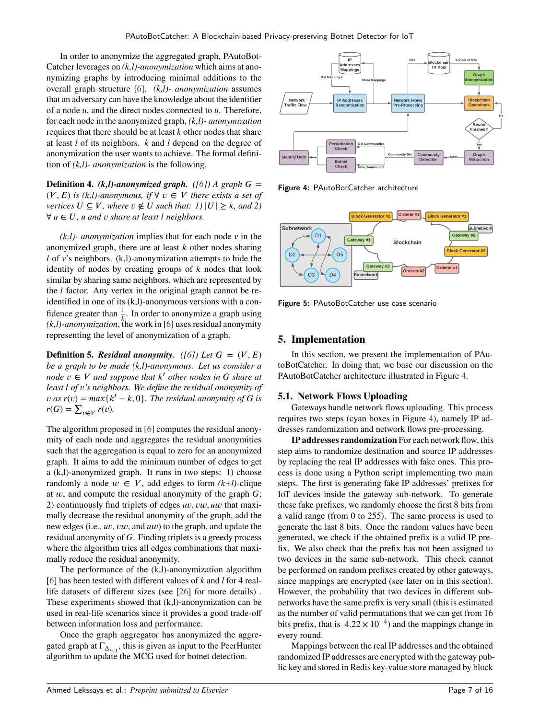<span id="page-6-0"></span>In order to anonymize the aggregated graph, PAutoBot-Catcher leverages on *(k,l)-anonymization* which aims at anonymizing graphs by introducing minimal additions to the overall graph structure [6]. *(k,l)- anonymization* assumes that an adversary can have the knowledge about the identifier of a node *𝑢*, and the direct nodes connected to *𝑢*. Therefore, for each node in the anonymized graph, *(k,l)- anonymization* requires that there should be at least *k* other nodes that share at least *l* of its neighbors. *k* and *l* depend on the degree of anonymization the user wants to achieve. The formal definition of *(k,l)- anonymization* is the following.

**Definition 4.** *(k,l)-anonymized graph. ([6])* A graph  $G =$  $(V, E)$  *is (k,l)-anonymous, if* ∀  $v \in V$  *there exists a set of vertices*  $U \subseteq V$ *, where*  $v \notin U$  *such that: 1)*  $|U| \geq k$ *, and 2)* ∀ *𝑢* ∈ *𝑈, 𝑢 and 𝑣 share at least 𝑙 neighbors.*

*(k,l)- anonymization* implies that for each node *v* in the anonymized graph, there are at least *k* other nodes sharing *l* of *v*'s neighbors. (k,l)-anonymization attempts to hide the identity of nodes by creating groups of  $k$  nodes that look similar by sharing same neighbors, which are represented by the *l* factor. Any vertex in the original graph cannot be reidentified in one of its (k,l)-anonymous versions with a confidence greater than  $\frac{1}{k}$ . In order to anonymize a graph using  $(k, l)$ -anonymization, the work in [6] uses residual anonymity representing the level of anonymization of a graph.

**Definition 5.** *Residual anonymity. ([6])* Let  $G = (V, E)$ *be a graph to be made (k,l)-anonymous. Let us consider a*  $\text{node } v \in V \text{ and suppose that } k' \text{ other nodes in } G \text{ share at } \mathbb{Z}$ *least 𝑙 of 𝑣's neighbors. We define the residual anonymity of*  $\nu$  *as*  $r(v) = max\{k' - k, 0\}$ . The residual anonymity of G is  $r(G) = \sum_{v \in V} r(v).$ 

The algorithm proposed in [6] computes the residual anonymity of each node and aggregates the residual anonymities such that the aggregation is equal to zero for an anonymized graph. It aims to add the minimum number of edges to get a (k,l)-anonymized graph. It runs in two steps: 1) choose randomly a node  $w \in V$ , add edges to form  $(k+l)$ -clique at  $w$ , and compute the residual anonymity of the graph  $G$ ; 2) continuously find triplets of edges *uv*, *vw*, *uw* that maximally decrease the residual anonymity of the graph, add the new edges (i.e., *uv*, *vw*, and *uw*) to the graph, and update the residual anonymity of G. Finding triplets is a greedy process where the algorithm tries all edges combinations that maximally reduce the residual anonymity.

The performance of the (k,l)-anonymization algorithm [6] has been tested with different values of *k* and *l* for 4 reallife datasets of different sizes (see [26] for more details) . These experiments showed that (k,l)-anonymization can be used in real-life scenarios since it provides a good trade-off between information loss and performance.

Once the graph aggregator has anonymized the aggregated graph at  $\Gamma_{\Delta_{t+1}}$ , this is given as input to the PeerHunter algorithm to update the MCG used for botnet detection.



Figure 4: PAutoBotCatcher architecture



Figure 5: PAutoBotCatcher use case scenario

# **5. Implementation**

In this section, we present the implementation of PAutoBotCatcher. In doing that, we base our discussion on the PAutoBotCatcher architecture illustrated in Figure [4.](#page-8-0)

# **5.1. Network Flows Uploading**

Gateways handle network flows uploading. This process requires two steps (cyan boxes in Figure [4\)](#page-8-0), namely IP addresses randomization and network flows pre-processing.

**IP addresses randomization** For each network flow, this step aims to randomize destination and source IP addresses by replacing the real IP addresses with fake ones. This process is done using a Python script implementing two main steps. The first is generating fake IP addresses' prefixes for IoT devices inside the gateway sub-network. To generate these fake prefixes, we randomly choose the first 8 bits from a valid range (from 0 to 255). The same process is used to generate the last 8 bits. Once the random values have been generated, we check if the obtained prefix is a valid IP prefix. We also check that the prefix has not been assigned to two devices in the same sub-network. This check cannot be performed on random prefixes created by other gateways, since mappings are encrypted (see later on in this section). However, the probability that two devices in different subnetworks have the same prefix is very small (this is estimated as the number of valid permutations that we can get from 16 bits prefix, that is  $4.22 \times 10^{-4}$ ) and the mappings change in every round.

Mappings between the real IP addresses and the obtained randomized IP addresses are encrypted with the gateway public key and stored in Redis key-value store managed by block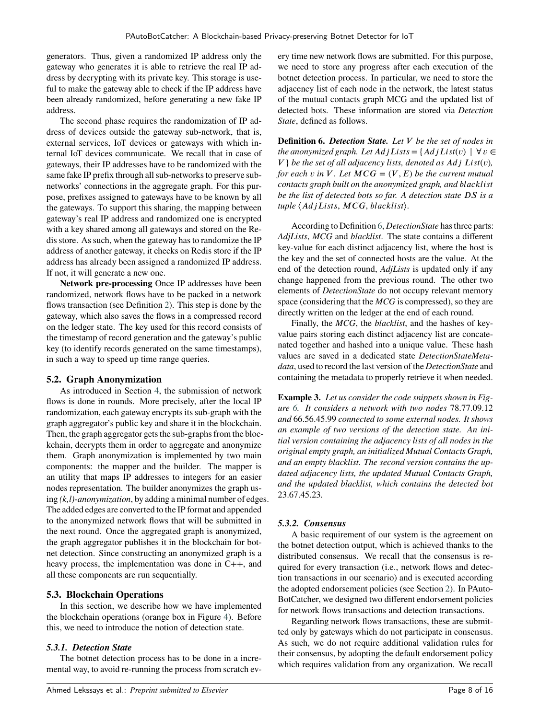<span id="page-7-0"></span>generators. Thus, given a randomized IP address only the gateway who generates it is able to retrieve the real IP address by decrypting with its private key. This storage is useful to make the gateway able to check if the IP address have been already randomized, before generating a new fake IP address.

The second phase requires the randomization of IP address of devices outside the gateway sub-network, that is, external services, IoT devices or gateways with which internal IoT devices communicate. We recall that in case of gateways, their IP addresses have to be randomized with the same fake IP prefix through all sub-networks to preserve subnetworks' connections in the aggregate graph. For this purpose, prefixes assigned to gateways have to be known by all the gateways. To support this sharing, the mapping between gateway's real IP address and randomized one is encrypted with a key shared among all gateways and stored on the Redis store. As such, when the gateway has to randomize the IP address of another gateway, it checks on Redis store if the IP address has already been assigned a randomized IP address. If not, it will generate a new one.

**Network pre-processing** Once IP addresses have been randomized, network flows have to be packed in a network flows transaction (see Definition [2\)](#page-5-0). This step is done by the gateway, which also saves the flows in a compressed record on the ledger state. The key used for this record consists of the timestamp of record generation and the gateway's public key (to identify records generated on the same timestamps), in such a way to speed up time range queries.

#### **5.2. Graph Anonymization**

As introduced in Section [4,](#page-6-0) the submission of network flows is done in rounds. More precisely, after the local IP randomization, each gateway encrypts its sub-graph with the graph aggregator's public key and share it in the blockchain. Then, the graph aggregator gets the sub-graphs from the blockchain, decrypts them in order to aggregate and anonymize them. Graph anonymization is implemented by two main components: the mapper and the builder. The mapper is an utility that maps IP addresses to integers for an easier nodes representation. The builder anonymizes the graph using *(k,l)-anonymization*, by adding a minimal number of edges. The added edges are converted to the IP format and appended to the anonymized network flows that will be submitted in the next round. Once the aggregated graph is anonymized, the graph aggregator publishes it in the blockchain for botnet detection. Since constructing an anonymized graph is a heavy process, the implementation was done in C++, and all these components are run sequentially.

#### **5.3. Blockchain Operations**

In this section, we describe how we have implemented the blockchain operations (orange box in Figure [4\)](#page-8-0). Before this, we need to introduce the notion of detection state.

#### *5.3.1. Detection State*

The botnet detection process has to be done in a incremental way, to avoid re-running the process from scratch ev-

ery time new network flows are submitted. For this purpose, we need to store any progress after each execution of the botnet detection process. In particular, we need to store the adjacency list of each node in the network, the latest status of the mutual contacts graph MCG and the updated list of detected bots. These information are stored via *Detection State*, defined as follows.

**Definition 6.** *Detection State. Let 𝑉 be the set of nodes in the anonymized graph. Let*  $AdjLists = \{AdjList(v) | \forall v \in \emptyset\}$  $V$ } *be the set of all adjacency lists, denoted as Adj List(v), for each*  $v$  *in*  $V$ *. Let*  $MCG = (V, E)$  *be the current mutual contacts graph built on the anonymized graph, and blacklist be the list of detected bots so far. A detection state DS is a tuple*  $\langle AdjLists, MCG, blacklist\rangle$ .

According to Definition [6,](#page-9-0) *DetectionState* has three parts: *AdjLists*, *MCG* and *blacklist*. The state contains a different key-value for each distinct adjacency list, where the host is the key and the set of connected hosts are the value. At the end of the detection round, *AdjLists* is updated only if any change happened from the previous round. The other two elements of *DetectionState* do not occupy relevant memory space (considering that the *MCG* is compressed), so they are directly written on the ledger at the end of each round.

Finally, the *MCG*, the *blacklist*, and the hashes of keyvalue pairs storing each distinct adjacency list are concatenated together and hashed into a unique value. These hash values are saved in a dedicated state *DetectionStateMetadata*, used to record the last version of the *DetectionState* and containing the metadata to properly retrieve it when needed.

**Example 3.** *Let us consider the code snippets shown in Figure [6.](#page-10-0) It considers a network with two nodes* 78*.*77*.*09*.*12 *and* 66*.*56*.*45*.*99 *connected to some external nodes. It shows an example of two versions of the detection state. An initial version containing the adjacency lists of all nodes in the original empty graph, an initialized Mutual Contacts Graph, and an empty blacklist. The second version contains the updated adjacency lists, the updated Mutual Contacts Graph, and the updated blacklist, which contains the detected bot* 23*.*67*.*45*.*23*.*

#### *5.3.2. Consensus*

A basic requirement of our system is the agreement on the botnet detection output, which is achieved thanks to the distributed consensus. We recall that the consensus is required for every transaction (i.e., network flows and detection transactions in our scenario) and is executed according the adopted endorsement policies (see Section [2\)](#page-3-0). In PAuto-BotCatcher, we designed two different endorsement policies for network flows transactions and detection transactions.

Regarding network flows transactions, these are submitted only by gateways which do not participate in consensus. As such, we do not require additional validation rules for their consensus, by adopting the default endorsement policy which requires validation from any organization. We recall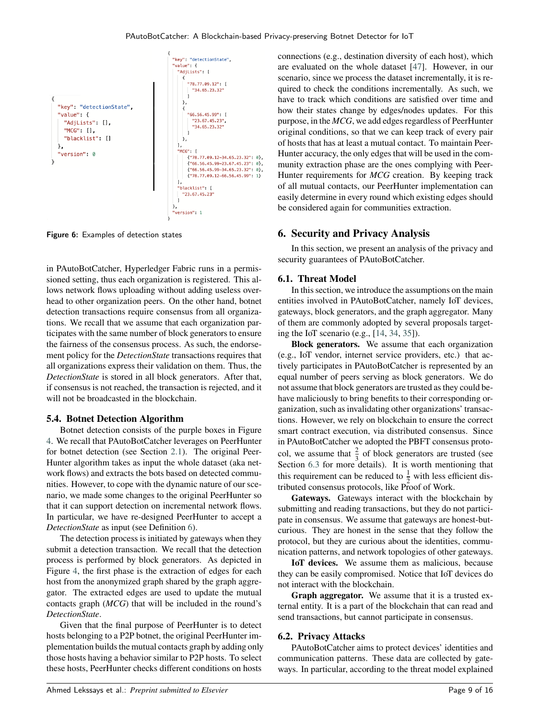<span id="page-8-0"></span>

Figure 6: Examples of detection states

in PAutoBotCatcher, Hyperledger Fabric runs in a permissioned setting, thus each organization is registered. This allows network flows uploading without adding useless overhead to other organization peers. On the other hand, botnet detection transactions require consensus from all organizations. We recall that we assume that each organization participates with the same number of block generators to ensure the fairness of the consensus process. As such, the endorsement policy for the *DetectionState* transactions requires that all organizations express their validation on them. Thus, the *DetectionState* is stored in all block generators. After that, if consensus is not reached, the transaction is rejected, and it will not be broadcasted in the blockchain.

#### **5.4. Botnet Detection Algorithm**

Botnet detection consists of the purple boxes in Figure 4. We recall that PAutoBotCatcher leverages on PeerHunter for botnet detection (see Section [2.1\)](#page-3-0). The original Peer-Hunter algorithm takes as input the whole dataset (aka network flows) and extracts the bots based on detected communities. However, to cope with the dynamic nature of our scenario, we made some changes to the original PeerHunter so that it can support detection on incremental network flows. In particular, we have re-designed PeerHunter to accept a *DetectionState* as input (see Definition [6\)](#page-9-0).

The detection process is initiated by gateways when they submit a detection transaction. We recall that the detection process is performed by block generators. As depicted in Figure 4, the first phase is the extraction of edges for each host from the anonymized graph shared by the graph aggregator. The extracted edges are used to update the mutual contacts graph (*MCG*) that will be included in the round's *DetectionState*.

Given that the final purpose of PeerHunter is to detect hosts belonging to a P2P botnet, the original PeerHunter implementation builds the mutual contacts graph by adding only those hosts having a behavior similar to P2P hosts. To select these hosts, PeerHunter checks different conditions on hosts

connections (e.g., destination diversity of each host), which are evaluated on the whole dataset [47]. However, in our scenario, since we process the dataset incrementally, it is required to check the conditions incrementally. As such, we have to track which conditions are satisfied over time and how their states change by edges/nodes updates. For this purpose, in the *MCG*, we add edges regardless of PeerHunter original conditions, so that we can keep track of every pair of hosts that has at least a mutual contact. To maintain Peer-Hunter accuracy, the only edges that will be used in the community extraction phase are the ones complying with Peer-Hunter requirements for *MCG* creation. By keeping track of all mutual contacts, our PeerHunter implementation can easily determine in every round which existing edges should be considered again for communities extraction.

# **6. Security and Privacy Analysis**

In this section, we present an analysis of the privacy and security guarantees of PAutoBotCatcher.

#### **6.1. Threat Model**

In this section, we introduce the assumptions on the main entities involved in PAutoBotCatcher, namely IoT devices, gateways, block generators, and the graph aggregator. Many of them are commonly adopted by several proposals targeting the IoT scenario (e.g., [14, 34, 35]).

**Block generators.** We assume that each organization (e.g., IoT vendor, internet service providers, etc.) that actively participates in PAutoBotCatcher is represented by an equal number of peers serving as block generators. We do not assume that block generators are trusted as they could behave maliciously to bring benefits to their corresponding organization, such as invalidating other organizations' transactions. However, we rely on blockchain to ensure the correct smart contract execution, via distributed consensus. Since in PAutoBotCatcher we adopted the PBFT consensus protocol, we assume that  $\frac{2}{3}$  of block generators are trusted (see Section [6.3](#page-11-0) for more details). It is worth mentioning that this requirement can be reduced to  $\frac{1}{2}$  with less efficient distributed consensus protocols, like Proof of Work.

**Gateways.** Gateways interact with the blockchain by submitting and reading transactions, but they do not participate in consensus. We assume that gateways are honest-butcurious. They are honest in the sense that they follow the protocol, but they are curious about the identities, communication patterns, and network topologies of other gateways.

**IoT devices.** We assume them as malicious, because they can be easily compromised. Notice that IoT devices do not interact with the blockchain.

**Graph aggregator.** We assume that it is a trusted external entity. It is a part of the blockchain that can read and send transactions, but cannot participate in consensus.

#### **6.2. Privacy Attacks**

PAutoBotCatcher aims to protect devices' identities and communication patterns. These data are collected by gateways. In particular, according to the threat model explained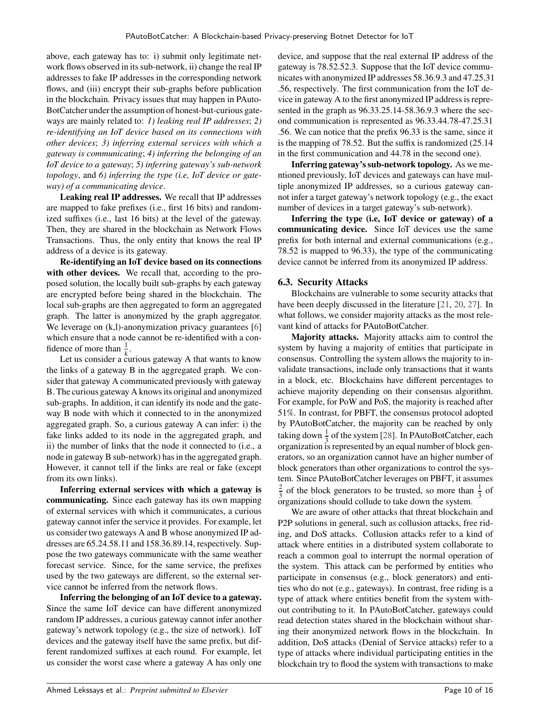<span id="page-9-0"></span>above, each gateway has to: i) submit only legitimate network flows observed in its sub-network, ii) change the real IP addresses to fake IP addresses in the corresponding network flows, and (iii) encrypt their sub-graphs before publication in the blockchain. Privacy issues that may happen in PAuto-BotCatcher under the assumption of honest-but-curious gateways are mainly related to: *1) leaking real IP addresses*; *2) re-identifying an IoT device based on its connections with other devices*; *3) inferring external services with which a gateway is communicating*; *4) inferring the belonging of an IoT device to a gateway*; *5) inferring gateway's sub-network topology*, and *6) inferring the type (i.e, IoT device or gateway) of a communicating device*.

**Leaking real IP addresses.** We recall that IP addresses are mapped to fake prefixes (i.e., first 16 bits) and randomized suffixes (i.e., last 16 bits) at the level of the gateway. Then, they are shared in the blockchain as Network Flows Transactions. Thus, the only entity that knows the real IP address of a device is its gateway.

**Re-identifying an IoT device based on its connections with other devices.** We recall that, according to the proposed solution, the locally built sub-graphs by each gateway are encrypted before being shared in the blockchain. The local sub-graphs are then aggregated to form an aggregated graph. The latter is anonymized by the graph aggregator. We leverage on  $(k, l)$ -anonymization privacy guarantees [6] which ensure that a node cannot be re-identified with a confidence of more than  $\frac{1}{k}$ .

Let us consider a curious gateway A that wants to know the links of a gateway B in the aggregated graph. We consider that gateway A communicated previously with gateway B. The curious gateway A knows its original and anonymized sub-graphs. In addition, it can identify its node and the gateway B node with which it connected to in the anonymized aggregated graph. So, a curious gateway A can infer: i) the fake links added to its node in the aggregated graph, and ii) the number of links that the node it connected to (i.e., a node in gateway B sub-network) has in the aggregated graph. However, it cannot tell if the links are real or fake (except from its own links).

**Inferring external services with which a gateway is communicating.** Since each gateway has its own mapping of external services with which it communicates, a curious gateway cannot infer the service it provides. For example, let us consider two gateways A and B whose anonymized IP addresses are 65.24.58.11 and 158.36.89.14, respectively. Suppose the two gateways communicate with the same weather forecast service. Since, for the same service, the prefixes used by the two gateways are different, so the external service cannot be inferred from the network flows.

**Inferring the belonging of an IoT device to a gateway.** Since the same IoT device can have different anonymized random IP addresses, a curious gateway cannot infer another gateway's network topology (e.g., the size of network). IoT devices and the gateway itself have the same prefix, but different randomized suffixes at each round. For example, let us consider the worst case where a gateway A has only one

device, and suppose that the real external IP address of the gateway is 78.52.52.3. Suppose that the IoT device communicates with anonymized IP addresses 58.36.9.3 and 47.25.31 .56, respectively. The first communication from the IoT device in gateway A to the first anonymized IP address is represented in the graph as 96.33.25.14-58.36.9.3 where the second communication is represented as 96.33.44.78-47.25.31 .56. We can notice that the prefix 96.33 is the same, since it is the mapping of 78.52. But the suffix is randomized (25.14 in the first communication and 44.78 in the second one).

**Inferring gateway's sub-network topology.** As we mentioned previously, IoT devices and gateways can have multiple anonymized IP addresses, so a curious gateway cannot infer a target gateway's network topology (e.g., the exact number of devices in a target gateway's sub-network).

**Inferring the type (i.e, IoT device or gateway) of a communicating device.** Since IoT devices use the same prefix for both internal and external communications (e.g., 78.52 is mapped to 96.33), the type of the communicating device cannot be inferred from its anonymized IP address.

### **6.3. Security Attacks**

Blockchains are vulnerable to some security attacks that have been deeply discussed in the literature [21, 20, 27]. In what follows, we consider majority attacks as the most relevant kind of attacks for PAutoBotCatcher.

**Majority attacks.** Majority attacks aim to control the system by having a majority of entities that participate in consensus. Controlling the system allows the majority to invalidate transactions, include only transactions that it wants in a block, etc. Blockchains have different percentages to achieve majority depending on their consensus algorithm. For example, for PoW and PoS, the majority is reached after 51%. In contrast, for PBFT, the consensus protocol adopted by PAutoBotCatcher, the majority can be reached by only taking down  $\frac{1}{3}$  of the system [28]. In PAutoBotCatcher, each organization is represented by an equal number of block generators, so an organization cannot have an higher number of block generators than other organizations to control the system. Since PAutoBotCatcher leverages on PBFT, it assumes 2  $\frac{2}{3}$  of the block generators to be trusted, so more than  $\frac{1}{3}$  of organizations should collude to take down the system.

We are aware of other attacks that threat blockchain and P2P solutions in general, such as collusion attacks, free riding, and DoS attacks. Collusion attacks refer to a kind of attack where entities in a distributed system collaborate to reach a common goal to interrupt the normal operation of the system. This attack can be performed by entities who participate in consensus (e.g., block generators) and entities who do not (e.g., gateways). In contrast, free riding is a type of attack where entities benefit from the system without contributing to it. In PAutoBotCatcher, gateways could read detection states shared in the blockchain without sharing their anonymized network flows in the blockchain. In addition, DoS attacks (Denial of Service attacks) refer to a type of attacks where individual participating entities in the blockchain try to flood the system with transactions to make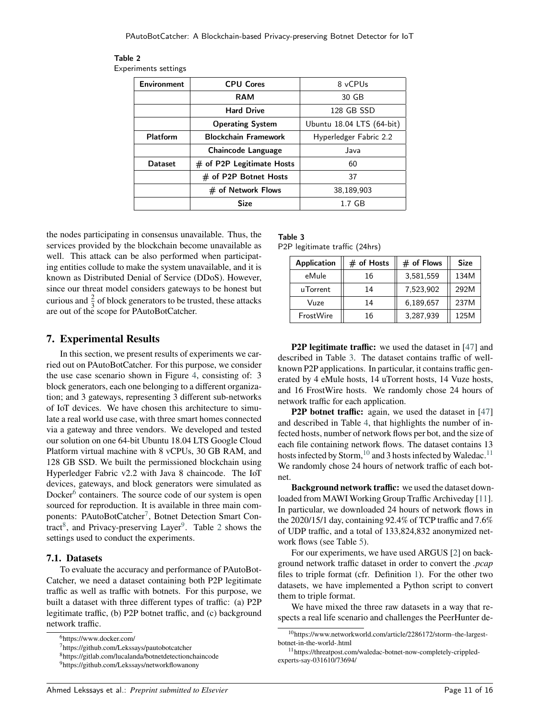| <b>Environment</b> | <b>CPU Cores</b>            | 8 vCPUs                   |  |
|--------------------|-----------------------------|---------------------------|--|
|                    | <b>RAM</b>                  | 30 GB                     |  |
|                    | <b>Hard Drive</b>           | 128 GB SSD                |  |
|                    | <b>Operating System</b>     | Ubuntu 18.04 LTS (64-bit) |  |
| Platform           | <b>Blockchain Framework</b> | Hyperledger Fabric 2.2    |  |
|                    | <b>Chaincode Language</b>   | Java                      |  |
| <b>Dataset</b>     | $#$ of P2P Legitimate Hosts | 60                        |  |
|                    | # of P2P Botnet Hosts       | 37                        |  |
|                    | # of Network Flows          | 38,189,903                |  |
|                    | <b>Size</b>                 | $1.7$ GB                  |  |

<span id="page-10-0"></span>Table 2 Experiments settings

the nodes participating in consensus unavailable. Thus, the services provided by the blockchain become unavailable as well. This attack can be also performed when participating entities collude to make the system unavailable, and it is known as Distributed Denial of Service (DDoS). However, since our threat model considers gateways to be honest but curious and  $\frac{2}{3}$  of block generators to be trusted, these attacks are out of the scope for PAutoBotCatcher.

#### **7. Experimental Results**

In this section, we present results of experiments we carried out on PAutoBotCatcher. For this purpose, we consider the use case scenario shown in Figure [4,](#page-8-0) consisting of: 3 block generators, each one belonging to a different organization; and 3 gateways, representing 3 different sub-networks of IoT devices. We have chosen this architecture to simulate a real world use case, with three smart homes connected via a gateway and three vendors. We developed and tested our solution on one 64-bit Ubuntu 18.04 LTS Google Cloud Platform virtual machine with 8 vCPUs, 30 GB RAM, and 128 GB SSD. We built the permissioned blockchain using Hyperledger Fabric v2.2 with Java 8 chaincode. The IoT devices, gateways, and block generators were simulated as Docker<sup>[6](#page-12-0)</sup> containers. The source code of our system is open sourced for reproduction. It is available in three main com-ponents: PAutoBotCatcher<sup>[7](#page-12-0)</sup>, Botnet Detection Smart Con-tract<sup>[8](#page-12-0)</sup>, and Privacy-preserving Layer<sup>[9](#page-12-0)</sup>. Table [2](#page-12-0) shows the settings used to conduct the experiments.

#### **7.1. Datasets**

To evaluate the accuracy and performance of PAutoBot-Catcher, we need a dataset containing both P2P legitimate traffic as well as traffic with botnets. For this purpose, we built a dataset with three different types of traffic: (a) P2P legitimate traffic, (b) P2P botnet traffic, and (c) background network traffic.

# Table 3

P2P legitimate traffic (24hrs)

| <b>Application</b> | $#$ of Hosts | $#$ of Flows | <b>Size</b> |
|--------------------|--------------|--------------|-------------|
| eMule              | 16           | 3,581,559    | 134M        |
| uTorrent           | 14           | 7,523,902    | 292M        |
| Vuze               | 14           | 6,189,657    | 237M        |
| FrostWire          | 16           | 3,287,939    | 125M        |

**P2P legitimate traffic:** we used the dataset in [47] and described in Table [3.](#page-12-0) The dataset contains traffic of wellknown P2P applications. In particular, it contains traffic generated by 4 eMule hosts, 14 uTorrent hosts, 14 Vuze hosts, and 16 FrostWire hosts. We randomly chose 24 hours of network traffic for each application.

**P2P botnet traffic:** again, we used the dataset in [47] and described in Table [4,](#page-13-0) that highlights the number of infected hosts, number of network flows per bot, and the size of each file containing network flows. The dataset contains 13 hosts infected by Storm,<sup>[10](#page-12-0)</sup> and 3 hosts infected by Waledac.<sup>[11](#page-12-0)</sup> We randomly chose 24 hours of network traffic of each botnet.

**Background network traffic:** we used the dataset downloaded from MAWI Working Group Traffic Archiveday [11]. In particular, we downloaded 24 hours of network flows in the 2020/15/1 day, containing 92.4% of TCP traffic and 7.6% of UDP traffic, and a total of 133,824,832 anonymized network flows (see Table [5\)](#page-13-0).

For our experiments, we have used ARGUS [2] on background network traffic dataset in order to convert the *.pcap* files to triple format (cfr. Definition [1\)](#page-5-0). For the other two datasets, we have implemented a Python script to convert them to triple format.

We have mixed the three raw datasets in a way that respects a real life scenario and challenges the PeerHunter de-

<sup>6</sup>https://www.docker.com/

<sup>7</sup>https://github.com/Lekssays/pautobotcatcher

<sup>8</sup>https://gitlab.com/lucalanda/botnetdetectionchaincode

<sup>9</sup>https://github.com/Lekssays/networkflowanony

<sup>10</sup>https://www.networkworld.com/article/2286172/storm–the-largestbotnet-in-the-world-.html

<sup>11</sup>https://threatpost.com/waledac-botnet-now-completely-crippledexperts-say-031610/73694/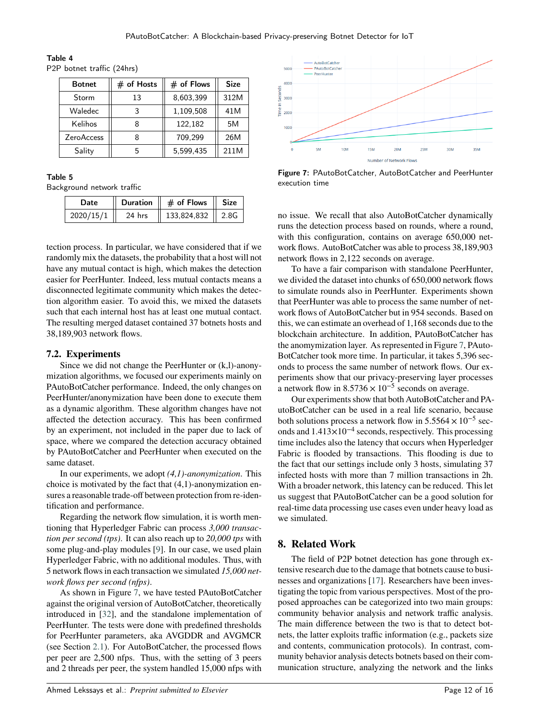| <b>Botnet</b>     | $#$ of Hosts | $#$ of Flows | <b>Size</b> |
|-------------------|--------------|--------------|-------------|
| Storm             | 13           | 8,603,399    | 312M        |
| Waledec           | 3            | 1,109,508    | 41M         |
| Kelihos           |              | 122,182      | 5M          |
| <b>ZeroAccess</b> |              | 709,299      | 26M         |
| Sality            | 5            | 5.599.435    | 211M        |

<span id="page-11-0"></span>Table 4 P2P botnet traffic (24hrs)

#### Table 5

Background network traffic

| Date      |        | Duration $   \#$ of Flows $  $ Size |  |
|-----------|--------|-------------------------------------|--|
| 2020/15/1 | 24 hrs | 133,824,832   2.8G                  |  |

tection process. In particular, we have considered that if we randomly mix the datasets, the probability that a host will not have any mutual contact is high, which makes the detection easier for PeerHunter. Indeed, less mutual contacts means a disconnected legitimate community which makes the detection algorithm easier. To avoid this, we mixed the datasets such that each internal host has at least one mutual contact. The resulting merged dataset contained 37 botnets hosts and 38,189,903 network flows.

#### **7.2. Experiments**

Since we did not change the PeerHunter or (k,l)-anonymization algorithms, we focused our experiments mainly on PAutoBotCatcher performance. Indeed, the only changes on PeerHunter/anonymization have been done to execute them as a dynamic algorithm. These algorithm changes have not affected the detection accuracy. This has been confirmed by an experiment, not included in the paper due to lack of space, where we compared the detection accuracy obtained by PAutoBotCatcher and PeerHunter when executed on the same dataset.

In our experiments, we adopt *(4,1)-anonymization*. This choice is motivated by the fact that (4,1)-anonymization ensures a reasonable trade-off between protection from re-identification and performance.

Regarding the network flow simulation, it is worth mentioning that Hyperledger Fabric can process *3,000 transaction per second (tps)*. It can also reach up to *20,000 tps* with some plug-and-play modules [9]. In our case, we used plain Hyperledger Fabric, with no additional modules. Thus, with 5 network flows in each transaction we simulated *15,000 network flows per second (nfps)*.

As shown in Figure [7,](#page-13-0) we have tested PAutoBotCatcher against the original version of AutoBotCatcher, theoretically introduced in [32], and the standalone implementation of PeerHunter. The tests were done with predefined thresholds for PeerHunter parameters, aka AVGDDR and AVGMCR (see Section [2.1\)](#page-3-0). For AutoBotCatcher, the processed flows per peer are 2,500 nfps. Thus, with the setting of 3 peers and 2 threads per peer, the system handled 15,000 nfps with



Figure 7: PAutoBotCatcher, AutoBotCatcher and PeerHunter execution time

no issue. We recall that also AutoBotCatcher dynamically runs the detection process based on rounds, where a round, with this configuration, contains on average 650,000 network flows. AutoBotCatcher was able to process 38,189,903 network flows in 2,122 seconds on average.

To have a fair comparison with standalone PeerHunter, we divided the dataset into chunks of 650,000 network flows to simulate rounds also in PeerHunter. Experiments shown that PeerHunter was able to process the same number of network flows of AutoBotCatcher but in 954 seconds. Based on this, we can estimate an overhead of 1,168 seconds due to the blockchain architecture. In addition, PAutoBotCatcher has the anomymization layer. As represented in Figure [7,](#page-13-0) PAuto-BotCatcher took more time. In particular, it takes 5,396 seconds to process the same number of network flows. Our experiments show that our privacy-preserving layer processes a network flow in  $8.5736 \times 10^{-5}$  seconds on average.

Our experiments show that both AutoBotCatcher and PAutoBotCatcher can be used in a real life scenario, because both solutions process a network flow in  $5.5564 \times 10^{-5}$  seconds and 1*.*413×10−4 seconds, respectively. This processing time includes also the latency that occurs when Hyperledger Fabric is flooded by transactions. This flooding is due to the fact that our settings include only 3 hosts, simulating 37 infected hosts with more than 7 million transactions in 2h. With a broader network, this latency can be reduced. This let us suggest that PAutoBotCatcher can be a good solution for real-time data processing use cases even under heavy load as we simulated.

# **8. Related Work**

The field of P2P botnet detection has gone through extensive research due to the damage that botnets cause to businesses and organizations [17]. Researchers have been investigating the topic from various perspectives. Most of the proposed approaches can be categorized into two main groups: community behavior analysis and network traffic analysis. The main difference between the two is that to detect botnets, the latter exploits traffic information (e.g., packets size and contents, communication protocols). In contrast, community behavior analysis detects botnets based on their communication structure, analyzing the network and the links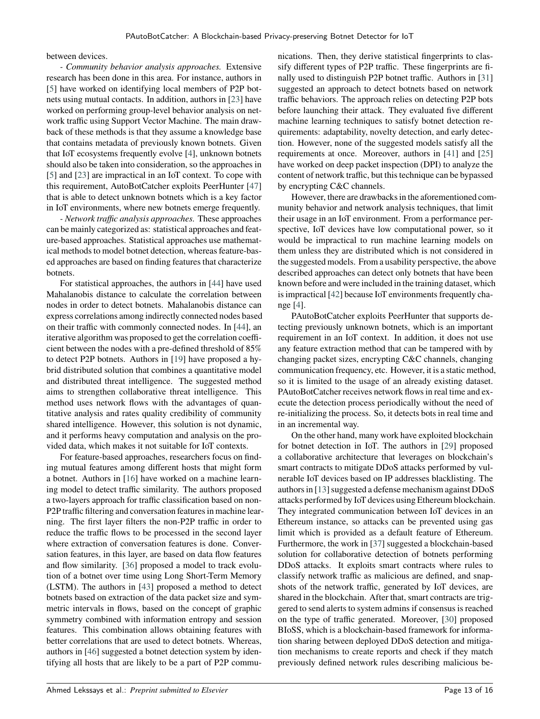<span id="page-12-0"></span>between devices.

*- Community behavior analysis approaches.* Extensive research has been done in this area. For instance, authors in [5] have worked on identifying local members of P2P botnets using mutual contacts. In addition, authors in [23] have worked on performing group-level behavior analysis on network traffic using Support Vector Machine. The main drawback of these methods is that they assume a knowledge base that contains metadata of previously known botnets. Given that IoT ecosystems frequently evolve [4], unknown botnets should also be taken into consideration, so the approaches in [5] and [23] are impractical in an IoT context. To cope with this requirement, AutoBotCatcher exploits PeerHunter [47] that is able to detect unknown botnets which is a key factor in IoT environments, where new botnets emerge frequently.

*- Network traffic analysis approaches.* These approaches can be mainly categorized as: statistical approaches and feature-based approaches. Statistical approaches use mathematical methods to model botnet detection, whereas feature-based approaches are based on finding features that characterize botnets.

For statistical approaches, the authors in [44] have used Mahalanobis distance to calculate the correlation between nodes in order to detect botnets. Mahalanobis distance can express correlations among indirectly connected nodes based on their traffic with commonly connected nodes. In [44], an iterative algorithm was proposed to get the correlation coefficient between the nodes with a pre-defined threshold of 85% to detect P2P botnets. Authors in [19] have proposed a hybrid distributed solution that combines a quantitative model and distributed threat intelligence. The suggested method aims to strengthen collaborative threat intelligence. This method uses network flows with the advantages of quantitative analysis and rates quality credibility of community shared intelligence. However, this solution is not dynamic, and it performs heavy computation and analysis on the provided data, which makes it not suitable for IoT contexts.

For feature-based approaches, researchers focus on finding mutual features among different hosts that might form a botnet. Authors in [16] have worked on a machine learning model to detect traffic similarity. The authors proposed a two-layers approach for traffic classification based on non-P2P traffic filtering and conversation features in machine learning. The first layer filters the non-P2P traffic in order to reduce the traffic flows to be processed in the second layer where extraction of conversation features is done. Conversation features, in this layer, are based on data flow features and flow similarity. [36] proposed a model to track evolution of a botnet over time using Long Short-Term Memory (LSTM). The authors in [43] proposed a method to detect botnets based on extraction of the data packet size and symmetric intervals in flows, based on the concept of graphic symmetry combined with information entropy and session features. This combination allows obtaining features with better correlations that are used to detect botnets. Whereas, authors in [46] suggested a botnet detection system by identifying all hosts that are likely to be a part of P2P communications. Then, they derive statistical fingerprints to classify different types of P2P traffic. These fingerprints are finally used to distinguish P2P botnet traffic. Authors in [31] suggested an approach to detect botnets based on network traffic behaviors. The approach relies on detecting P2P bots before launching their attack. They evaluated five different machine learning techniques to satisfy botnet detection requirements: adaptability, novelty detection, and early detection. However, none of the suggested models satisfy all the requirements at once. Moreover, authors in [41] and [25] have worked on deep packet inspection (DPI) to analyze the content of network traffic, but this technique can be bypassed by encrypting C&C channels.

However, there are drawbacks in the aforementioned community behavior and network analysis techniques, that limit their usage in an IoT environment. From a performance perspective, IoT devices have low computational power, so it would be impractical to run machine learning models on them unless they are distributed which is not considered in the suggested models. From a usability perspective, the above described approaches can detect only botnets that have been known before and were included in the training dataset, which is impractical [42] because IoT environments frequently change [4].

PAutoBotCatcher exploits PeerHunter that supports detecting previously unknown botnets, which is an important requirement in an IoT context. In addition, it does not use any feature extraction method that can be tampered with by changing packet sizes, encrypting C&C channels, changing communication frequency, etc. However, it is a static method, so it is limited to the usage of an already existing dataset. PAutoBotCatcher receives network flows in real time and execute the detection process periodically without the need of re-initializing the process. So, it detects bots in real time and in an incremental way.

On the other hand, many work have exploited blockchain for botnet detection in IoT. The authors in [29] proposed a collaborative architecture that leverages on blockchain's smart contracts to mitigate DDoS attacks performed by vulnerable IoT devices based on IP addresses blacklisting. The authors in [13] suggested a defense mechanism against DDoS attacks performed by IoT devices using Ethereum blockchain. They integrated communication between IoT devices in an Ethereum instance, so attacks can be prevented using gas limit which is provided as a default feature of Ethereum. Furthermore, the work in [37] suggested a blockchain-based solution for collaborative detection of botnets performing DDoS attacks. It exploits smart contracts where rules to classify network traffic as malicious are defined, and snapshots of the network traffic, generated by IoT devices, are shared in the blockchain. After that, smart contracts are triggered to send alerts to system admins if consensus is reached on the type of traffic generated. Moreover, [30] proposed BIoSS, which is a blockchain-based framework for information sharing between deployed DDoS detection and mitigation mechanisms to create reports and check if they match previously defined network rules describing malicious be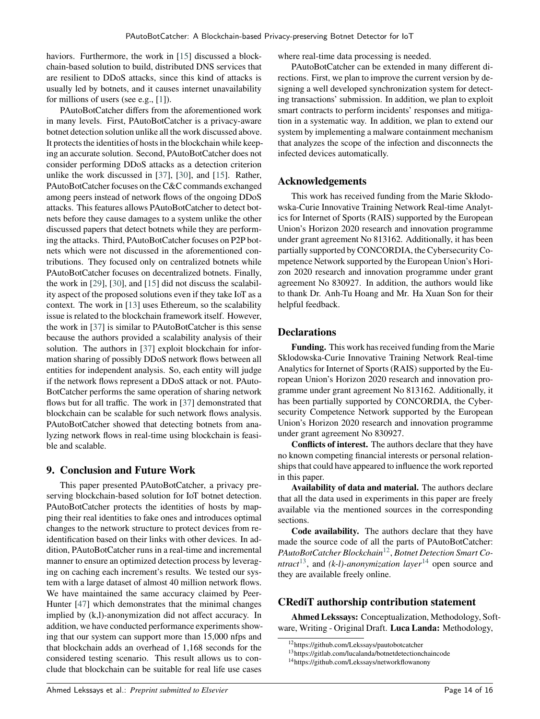<span id="page-13-0"></span>haviors. Furthermore, the work in [15] discussed a blockchain-based solution to build, distributed DNS services that are resilient to DDoS attacks, since this kind of attacks is usually led by botnets, and it causes internet unavailability for millions of users (see e.g., [1]).

PAutoBotCatcher differs from the aforementioned work in many levels. First, PAutoBotCatcher is a privacy-aware botnet detection solution unlike all the work discussed above. It protects the identities of hosts in the blockchain while keeping an accurate solution. Second, PAutoBotCatcher does not consider performing DDoS attacks as a detection criterion unlike the work discussed in [37], [30], and [15]. Rather, PAutoBotCatcher focuses on the C&C commands exchanged among peers instead of network flows of the ongoing DDoS attacks. This features allows PAutoBotCatcher to detect botnets before they cause damages to a system unlike the other discussed papers that detect botnets while they are performing the attacks. Third, PAutoBotCatcher focuses on P2P botnets which were not discussed in the aforementioned contributions. They focused only on centralized botnets while PAutoBotCatcher focuses on decentralized botnets. Finally, the work in [29], [30], and [15] did not discuss the scalability aspect of the proposed solutions even if they take IoT as a context. The work in [13] uses Ethereum, so the scalability issue is related to the blockchain framework itself. However, the work in [37] is similar to PAutoBotCatcher is this sense because the authors provided a scalability analysis of their solution. The authors in [37] exploit blockchain for information sharing of possibly DDoS network flows between all entities for independent analysis. So, each entity will judge if the network flows represent a DDoS attack or not. PAuto-BotCatcher performs the same operation of sharing network flows but for all traffic. The work in [37] demonstrated that blockchain can be scalable for such network flows analysis. PAutoBotCatcher showed that detecting botnets from analyzing network flows in real-time using blockchain is feasible and scalable.

# **9. Conclusion and Future Work**

This paper presented PAutoBotCatcher, a privacy preserving blockchain-based solution for IoT botnet detection. PAutoBotCatcher protects the identities of hosts by mapping their real identities to fake ones and introduces optimal changes to the network structure to protect devices from reidentification based on their links with other devices. In addition, PAutoBotCatcher runs in a real-time and incremental manner to ensure an optimized detection process by leveraging on caching each increment's results. We tested our system with a large dataset of almost 40 million network flows. We have maintained the same accuracy claimed by Peer-Hunter [47] which demonstrates that the minimal changes implied by (k,l)-anonymization did not affect accuracy. In addition, we have conducted performance experiments showing that our system can support more than 15,000 nfps and that blockchain adds an overhead of 1,168 seconds for the considered testing scenario. This result allows us to conclude that blockchain can be suitable for real life use cases

where real-time data processing is needed.

PAutoBotCatcher can be extended in many different directions. First, we plan to improve the current version by designing a well developed synchronization system for detecting transactions' submission. In addition, we plan to exploit smart contracts to perform incidents' responses and mitigation in a systematic way. In addition, we plan to extend our system by implementing a malware containment mechanism that analyzes the scope of the infection and disconnects the infected devices automatically.

#### **Acknowledgements**

This work has received funding from the Marie Skłodowska-Curie Innovative Training Network Real-time Analytics for Internet of Sports (RAIS) supported by the European Union's Horizon 2020 research and innovation programme under grant agreement No 813162. Additionally, it has been partially supported by CONCORDIA, the Cybersecurity Competence Network supported by the European Union's Horizon 2020 research and innovation programme under grant agreement No 830927. In addition, the authors would like to thank Dr. Anh-Tu Hoang and Mr. Ha Xuan Son for their helpful feedback.

### **Declarations**

**Funding.** This work has received funding from the Marie Sklodowska-Curie Innovative Training Network Real-time Analytics for Internet of Sports (RAIS) supported by the European Union's Horizon 2020 research and innovation programme under grant agreement No 813162. Additionally, it has been partially supported by CONCORDIA, the Cybersecurity Competence Network supported by the European Union's Horizon 2020 research and innovation programme under grant agreement No 830927.

**Conflicts of interest.** The authors declare that they have no known competing financial interests or personal relationships that could have appeared to influence the work reported in this paper.

**Availability of data and material.** The authors declare that all the data used in experiments in this paper are freely available via the mentioned sources in the corresponding sections.

**Code availability.** The authors declare that they have made the source code of all the parts of PAutoBotCatcher: *PAutoBotCatcher Blockchain*[12](#page-15-0) , *Botnet Detection Smart Contract*<sup>[13](#page-15-0)</sup>, and *(k-l)-anonymization layer*<sup>[14](#page-15-0)</sup> open source and they are available freely online.

#### **CRediT authorship contribution statement**

**Ahmed Lekssays:** Conceptualization, Methodology, Software, Writing - Original Draft. **Luca Landa:** Methodology,

<sup>12</sup>https://github.com/Lekssays/pautobotcatcher

<sup>13</sup>https://gitlab.com/lucalanda/botnetdetectionchaincode

<sup>14</sup>https://github.com/Lekssays/networkflowanony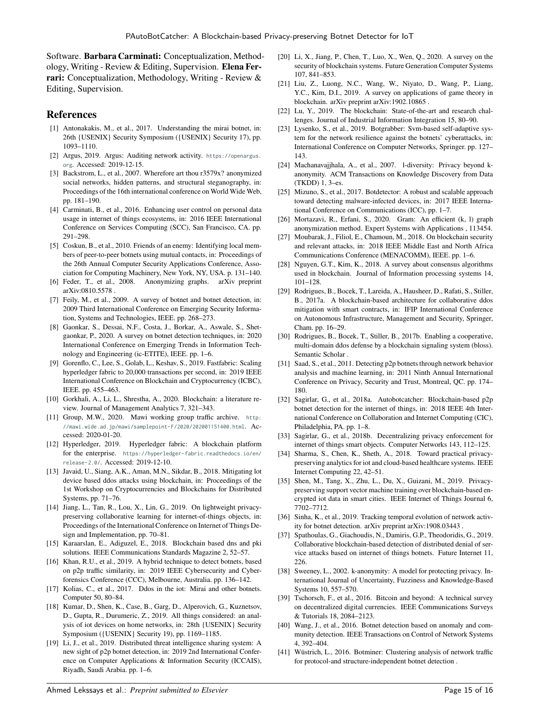Software. **Barbara Carminati:** Conceptualization, Methodology, Writing - Review & Editing, Supervision. **Elena Ferrari:** Conceptualization, Methodology, Writing - Review & Editing, Supervision.

### **References**

- [1] Antonakakis, M., et al., 2017. Understanding the mirai botnet, in: 26th {USENIX} Security Symposium ({USENIX} Security 17), pp. 1093–1110.
- [2] Argus, 2019. Argus: Auditing network activity. [https://openargus.](https://openargus.org) [org](https://openargus.org). Accessed: 2019-12-15.
- [3] Backstrom, L., et al., 2007. Wherefore art thou r3579x? anonymized social networks, hidden patterns, and structural steganography, in: Proceedings of the 16th international conference on World Wide Web, pp. 181–190.
- [4] Carminati, B., et al., 2016. Enhancing user control on personal data usage in internet of things ecosystems, in: 2016 IEEE International Conference on Services Computing (SCC), San Francisco, CA. pp. 291–298.
- [5] Coskun, B., et al., 2010. Friends of an enemy: Identifying local members of peer-to-peer botnets using mutual contacts, in: Proceedings of the 26th Annual Computer Security Applications Conference, Association for Computing Machinery, New York, NY, USA. p. 131–140.
- [6] Feder, T., et al., 2008. Anonymizing graphs. arXiv preprint arXiv:0810.5578 .
- [7] Feily, M., et al., 2009. A survey of botnet and botnet detection, in: 2009 Third International Conference on Emerging Security Information, Systems and Technologies, IEEE. pp. 268–273.
- [8] Gaonkar, S., Dessai, N.F., Costa, J., Borkar, A., Aswale, S., Shetgaonkar, P., 2020. A survey on botnet detection techniques, in: 2020 International Conference on Emerging Trends in Information Technology and Engineering (ic-ETITE), IEEE. pp. 1–6.
- [9] Gorenflo, C., Lee, S., Golab, L., Keshav, S., 2019. Fastfabric: Scaling hyperledger fabric to 20,000 transactions per second, in: 2019 IEEE International Conference on Blockchain and Cryptocurrency (ICBC), IEEE. pp. 455–463.
- [10] Gorkhali, A., Li, L., Shrestha, A., 2020. Blockchain: a literature review. Journal of Management Analytics 7, 321–343.
- [11] Group, M.W., 2020. Mawi working group traffic archive. [http:](http://mawi.wide.ad.jp/mawi/samplepoint-F/2020/202001151400.html) [//mawi.wide.ad.jp/mawi/samplepoint-F/2020/202001151400.html](http://mawi.wide.ad.jp/mawi/samplepoint-F/2020/202001151400.html). Accessed: 2020-01-20.
- [12] Hyperledger, 2019. Hyperledger fabric: A blockchain platform for the enterprise. [https://hyperledger-fabric.readthedocs.io/en/](https://hyperledger-fabric.readthedocs.io/en/release-2.0/) [release-2.0/](https://hyperledger-fabric.readthedocs.io/en/release-2.0/). Accessed: 2019-12-10.
- [13] Javaid, U., Siang, A.K., Aman, M.N., Sikdar, B., 2018. Mitigating lot device based ddos attacks using blockchain, in: Proceedings of the 1st Workshop on Cryptocurrencies and Blockchains for Distributed Systems, pp. 71–76.
- [14] Jiang, L., Tan, R., Lou, X., Lin, G., 2019. On lightweight privacypreserving collaborative learning for internet-of-things objects, in: Proceedings of the International Conference on Internet of Things Design and Implementation, pp. 70–81.
- [15] Karaarslan, E., Adiguzel, E., 2018. Blockchain based dns and pki solutions. IEEE Communications Standards Magazine 2, 52–57.
- [16] Khan, R.U., et al., 2019. A hybrid technique to detect botnets, based on p2p traffic similarity, in: 2019 IEEE Cybersecurity and Cyberforensics Conference (CCC), Melbourne, Australia. pp. 136–142.
- [17] Kolias, C., et al., 2017. Ddos in the iot: Mirai and other botnets. Computer 50, 80–84.
- [18] Kumar, D., Shen, K., Case, B., Garg, D., Alperovich, G., Kuznetsov, D., Gupta, R., Durumeric, Z., 2019. All things considered: an analysis of iot devices on home networks, in: 28th {USENIX} Security Symposium ({USENIX} Security 19), pp. 1169–1185.
- [19] Li, J., et al., 2019. Distributed threat intelligence sharing system: A new sight of p2p botnet detection, in: 2019 2nd International Conference on Computer Applications & Information Security (ICCAIS), Riyadh, Saudi Arabia. pp. 1–6.
- [20] Li, X., Jiang, P., Chen, T., Luo, X., Wen, Q., 2020. A survey on the security of blockchain systems. Future Generation Computer Systems 107, 841–853.
- [21] Liu, Z., Luong, N.C., Wang, W., Niyato, D., Wang, P., Liang, Y.C., Kim, D.I., 2019. A survey on applications of game theory in blockchain. arXiv preprint arXiv:1902.10865 .
- [22] Lu, Y., 2019. The blockchain: State-of-the-art and research challenges. Journal of Industrial Information Integration 15, 80–90.
- [23] Lysenko, S., et al., 2019. Botgrabber: Svm-based self-adaptive system for the network resilience against the botnets' cyberattacks, in: International Conference on Computer Networks, Springer. pp. 127– 143.
- [24] Machanavajjhala, A., et al., 2007. l-diversity: Privacy beyond kanonymity. ACM Transactions on Knowledge Discovery from Data (TKDD) 1, 3–es.
- [25] Mizuno, S., et al., 2017. Botdetector: A robust and scalable approach toward detecting malware-infected devices, in: 2017 IEEE International Conference on Communications (ICC), pp. 1–7.
- [26] Mortazavi, R., Erfani, S., 2020. Gram: An efficient (k, l) graph anonymization method. Expert Systems with Applications , 113454.
- [27] Moubarak, J., Filiol, E., Chamoun, M., 2018. On blockchain security and relevant attacks, in: 2018 IEEE Middle East and North Africa Communications Conference (MENACOMM), IEEE. pp. 1–6.
- [28] Nguyen, G.T., Kim, K., 2018. A survey about consensus algorithms used in blockchain. Journal of Information processing systems 14, 101–128.
- [29] Rodrigues, B., Bocek, T., Lareida, A., Hausheer, D., Rafati, S., Stiller, B., 2017a. A blockchain-based architecture for collaborative ddos mitigation with smart contracts, in: IFIP International Conference on Autonomous Infrastructure, Management and Security, Springer, Cham. pp. 16–29.
- [30] Rodrigues, B., Bocek, T., Stiller, B., 2017b. Enabling a cooperative, multi-domain ddos defense by a blockchain signaling system (bloss). Semantic Scholar .
- [31] Saad, S., et al., 2011. Detecting p2p botnets through network behavior analysis and machine learning, in: 2011 Ninth Annual International Conference on Privacy, Security and Trust, Montreal, QC. pp. 174– 180.
- [32] Sagirlar, G., et al., 2018a. Autobotcatcher: Blockchain-based p2p botnet detection for the internet of things, in: 2018 IEEE 4th International Conference on Collaboration and Internet Computing (CIC), Philadelphia, PA. pp. 1–8.
- [33] Sagirlar, G., et al., 2018b. Decentralizing privacy enforcement for internet of things smart objects. Computer Networks 143, 112–125.
- [34] Sharma, S., Chen, K., Sheth, A., 2018. Toward practical privacypreserving analytics for iot and cloud-based healthcare systems. IEEE Internet Computing 22, 42–51.
- [35] Shen, M., Tang, X., Zhu, L., Du, X., Guizani, M., 2019. Privacypreserving support vector machine training over blockchain-based encrypted iot data in smart cities. IEEE Internet of Things Journal 6, 7702–7712.
- [36] Sinha, K., et al., 2019. Tracking temporal evolution of network activity for botnet detection. arXiv preprint arXiv:1908.03443 .
- [37] Spathoulas, G., Giachoudis, N., Damiris, G.P., Theodoridis, G., 2019. Collaborative blockchain-based detection of distributed denial of service attacks based on internet of things botnets. Future Internet 11, 226.
- [38] Sweeney, L., 2002. k-anonymity: A model for protecting privacy. International Journal of Uncertainty, Fuzziness and Knowledge-Based Systems 10, 557–570.
- [39] Tschorsch, F., et al., 2016. Bitcoin and beyond: A technical survey on decentralized digital currencies. IEEE Communications Surveys & Tutorials 18, 2084–2123.
- [40] Wang, J., et al., 2016. Botnet detection based on anomaly and community detection. IEEE Transactions on Control of Network Systems 4, 392–404.
- [41] Wüstrich, L., 2016. Botminer: Clustering analysis of network traffic for protocol-and structure-independent botnet detection .